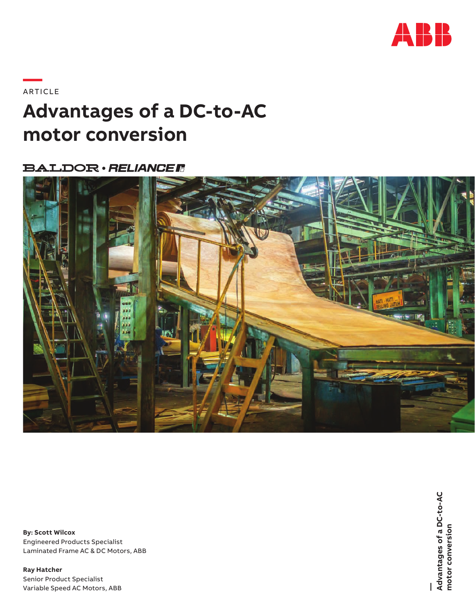

### **—**ARTICLE

## **Advantages of a DC-to-AC motor conversion**

### **BALDOR · RELIANCER**



**By: Scott Wilcox**  Engineered Products Specialist Laminated Frame AC & DC Motors, ABB

**Ray Hatcher** Senior Product Specialist Variable Speed AC Motors, ABB **—**<br>Advantages of a DC-to-AC<br>motor conversion **Advantages of a DC-to-AC motor conversion**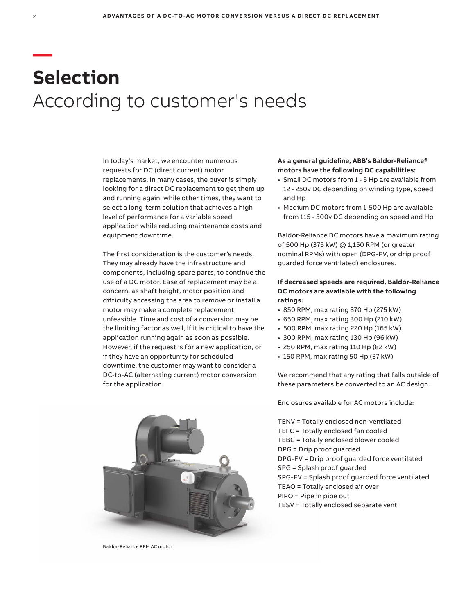# **— Selection** According to customer's needs

In today's market, we encounter numerous requests for DC (direct current) motor replacements. In many cases, the buyer is simply looking for a direct DC replacement to get them up and running again; while other times, they want to select a long-term solution that achieves a high level of performance for a variable speed application while reducing maintenance costs and equipment downtime.

The first consideration is the customer's needs. They may already have the infrastructure and components, including spare parts, to continue the use of a DC motor. Ease of replacement may be a concern, as shaft height, motor position and difficulty accessing the area to remove or install a motor may make a complete replacement unfeasible. Time and cost of a conversion may be the limiting factor as well, if it is critical to have the application running again as soon as possible. However, if the request is for a new application, or if they have an opportunity for scheduled downtime, the customer may want to consider a DC-to-AC (alternating current) motor conversion for the application.



Baldor-Reliance RPM AC motor

#### **As a general guideline, ABB's Baldor-Reliance® motors have the following DC capabilities:**

- Small DC motors from 1 5 Hp are available from 12 - 250v DC depending on winding type, speed and Hp
- Medium DC motors from 1-500 Hp are available from 115 - 500v DC depending on speed and Hp

Baldor-Reliance DC motors have a maximum rating of 500 Hp (375 kW) @ 1,150 RPM (or greater nominal RPMs) with open (DPG-FV, or drip proof guarded force ventilated) enclosures.

#### **If decreased speeds are required, Baldor-Reliance DC motors are available with the following ratings:**

- 850 RPM, max rating 370 Hp (275 kW)
- 650 RPM, max rating 300 Hp (210 kW)
- 500 RPM, max rating 220 Hp (165 kW)
- 300 RPM, max rating 130 Hp (96 kW)
- 250 RPM, max rating 110 Hp (82 kW)
- 150 RPM, max rating 50 Hp (37 kW)

We recommend that any rating that falls outside of these parameters be converted to an AC design.

Enclosures available for AC motors include:

TENV = Totally enclosed non-ventilated TEFC = Totally enclosed fan cooled TEBC = Totally enclosed blower cooled DPG = Drip proof guarded DPG-FV = Drip proof guarded force ventilated SPG = Splash proof guarded SPG-FV = Splash proof guarded force ventilated TEAO = Totally enclosed air over PIPO = Pipe in pipe out TESV = Totally enclosed separate vent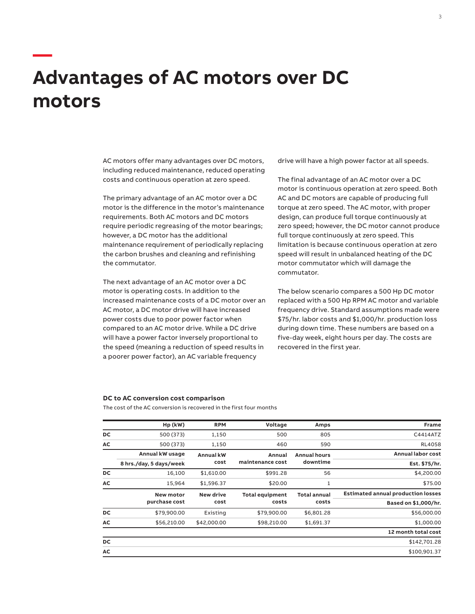## **Advantages of AC motors over DC motors**

**—**

AC motors offer many advantages over DC motors, including reduced maintenance, reduced operating costs and continuous operation at zero speed.

The primary advantage of an AC motor over a DC motor is the difference in the motor's maintenance requirements. Both AC motors and DC motors require periodic regreasing of the motor bearings; however, a DC motor has the additional maintenance requirement of periodically replacing the carbon brushes and cleaning and refinishing the commutator.

The next advantage of an AC motor over a DC motor is operating costs. In addition to the increased maintenance costs of a DC motor over an AC motor, a DC motor drive will have increased power costs due to poor power factor when compared to an AC motor drive. While a DC drive will have a power factor inversely proportional to the speed (meaning a reduction of speed results in a poorer power factor), an AC variable frequency

drive will have a high power factor at all speeds.

The final advantage of an AC motor over a DC motor is continuous operation at zero speed. Both AC and DC motors are capable of producing full torque at zero speed. The AC motor, with proper design, can produce full torque continuously at zero speed; however, the DC motor cannot produce full torque continuously at zero speed. This limitation is because continuous operation at zero speed will result in unbalanced heating of the DC motor commutator which will damage the commutator.

The below scenario compares a 500 Hp DC motor replaced with a 500 Hp RPM AC motor and variable frequency drive. Standard assumptions made were \$75/hr. labor costs and \$1,000/hr. production loss during down time. These numbers are based on a five-day week, eight hours per day. The costs are recovered in the first year.

#### **DC to AC conversion cost comparison**

The cost of the AC conversion is recovered in the first four months

| 805                 | 500                    | 1,150            | 500 (373)               | DC     |
|---------------------|------------------------|------------------|-------------------------|--------|
| 590                 | 460                    | 1,150            | 500 (373)               | АC     |
| <b>Annual hours</b> | Annual                 | <b>Annual kW</b> | Annual kW usage         |        |
| downtime            | maintenance cost       | cost             | 8 hrs./day, 5 days/week |        |
| 56                  | \$991.28               | \$1,610.00       | 16,100                  | DC     |
| $\mathbf{1}$        | \$20.00                | \$1,596.37       | 15,964                  | АC     |
| <b>Total annual</b> | <b>Total equipment</b> | <b>New drive</b> | <b>New motor</b>        |        |
| costs               | costs                  | cost             | purchase cost           |        |
| \$6,801.28          | \$79,900.00            | Existing         | \$79,900.00             | DC     |
| \$1,691.37          | \$98,210.00            | \$42,000.00      | \$56,210.00             | АC     |
|                     |                        |                  |                         |        |
|                     |                        |                  |                         | DC     |
|                     |                        |                  |                         | АC     |
|                     | Amps                   | Voltage          | <b>RPM</b>              | Hp(kW) |